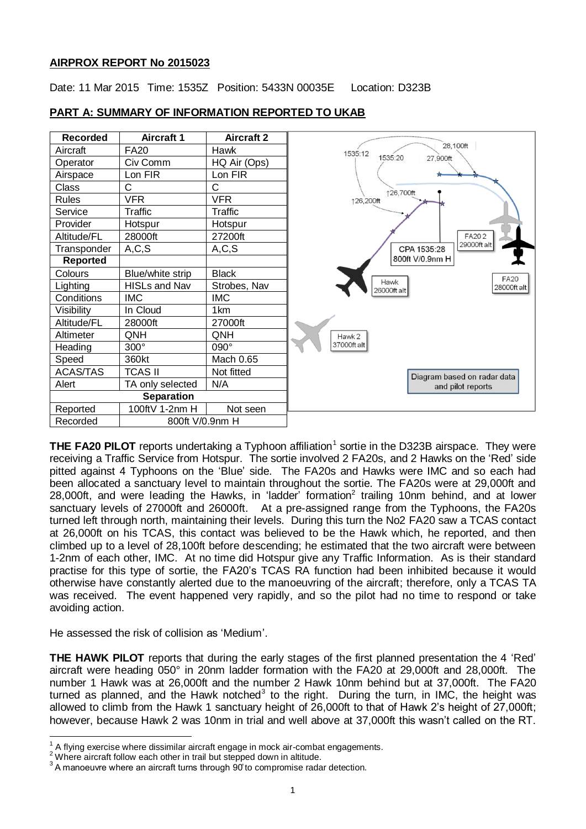## **AIRPROX REPORT No 2015023**

Date: 11 Mar 2015 Time: 1535Z Position: 5433N 00035E Location: D323B



## **PART A: SUMMARY OF INFORMATION REPORTED TO UKAB**

**THE FA20 PILOT** reports undertaking a Typhoon affiliation<sup>1</sup> sortie in the D323B airspace. They were receiving a Traffic Service from Hotspur. The sortie involved 2 FA20s, and 2 Hawks on the 'Red' side pitted against 4 Typhoons on the 'Blue' side. The FA20s and Hawks were IMC and so each had been allocated a sanctuary level to maintain throughout the sortie. The FA20s were at 29,000ft and 28,000ft, and were leading the Hawks, in 'ladder' formation<sup>2</sup> trailing 10nm behind, and at lower sanctuary levels of 27000ft and 26000ft. At a pre-assigned range from the Typhoons, the FA20s turned left through north, maintaining their levels. During this turn the No2 FA20 saw a TCAS contact at 26,000ft on his TCAS, this contact was believed to be the Hawk which, he reported, and then climbed up to a level of 28,100ft before descending; he estimated that the two aircraft were between 1-2nm of each other, IMC. At no time did Hotspur give any Traffic Information. As is their standard practise for this type of sortie, the FA20's TCAS RA function had been inhibited because it would otherwise have constantly alerted due to the manoeuvring of the aircraft; therefore, only a TCAS TA was received. The event happened very rapidly, and so the pilot had no time to respond or take avoiding action.

He assessed the risk of collision as 'Medium'.

**THE HAWK PILOT** reports that during the early stages of the first planned presentation the 4 'Red' aircraft were heading 050° in 20nm ladder formation with the FA20 at 29,000ft and 28,000ft. The number 1 Hawk was at 26,000ft and the number 2 Hawk 10nm behind but at 37,000ft. The FA20 turned as planned, and the Hawk notched<sup>3</sup> to the right. During the turn, in IMC, the height was allowed to climb from the Hawk 1 sanctuary height of 26,000ft to that of Hawk 2's height of 27,000ft; however, because Hawk 2 was 10nm in trial and well above at 37,000ft this wasn't called on the RT.

 1 A flying exercise where dissimilar aircraft engage in mock air-combat engagements.

<sup>&</sup>lt;sup>2</sup> Where aircraft follow each other in trail but stepped down in altitude.

 $^3$  A manoeuvre where an aircraft turns through  $90^\circ$  to compromise radar detection.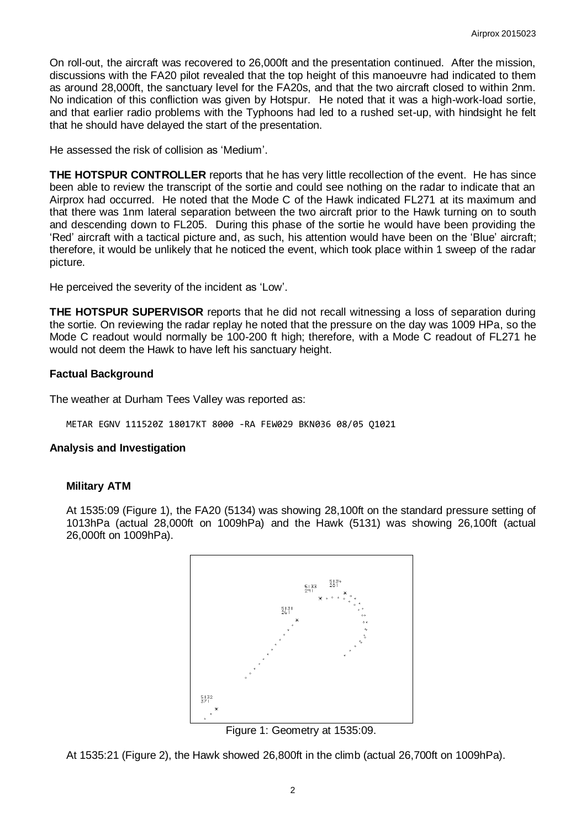On roll-out, the aircraft was recovered to 26,000ft and the presentation continued. After the mission, discussions with the FA20 pilot revealed that the top height of this manoeuvre had indicated to them as around 28,000ft, the sanctuary level for the FA20s, and that the two aircraft closed to within 2nm. No indication of this confliction was given by Hotspur. He noted that it was a high-work-load sortie, and that earlier radio problems with the Typhoons had led to a rushed set-up, with hindsight he felt that he should have delayed the start of the presentation.

He assessed the risk of collision as 'Medium'.

**THE HOTSPUR CONTROLLER** reports that he has very little recollection of the event. He has since been able to review the transcript of the sortie and could see nothing on the radar to indicate that an Airprox had occurred. He noted that the Mode C of the Hawk indicated FL271 at its maximum and that there was 1nm lateral separation between the two aircraft prior to the Hawk turning on to south and descending down to FL205. During this phase of the sortie he would have been providing the 'Red' aircraft with a tactical picture and, as such, his attention would have been on the 'Blue' aircraft; therefore, it would be unlikely that he noticed the event, which took place within 1 sweep of the radar picture.

He perceived the severity of the incident as 'Low'.

**THE HOTSPUR SUPERVISOR** reports that he did not recall witnessing a loss of separation during the sortie. On reviewing the radar replay he noted that the pressure on the day was 1009 HPa, so the Mode C readout would normally be 100-200 ft high; therefore, with a Mode C readout of FL271 he would not deem the Hawk to have left his sanctuary height.

## **Factual Background**

The weather at Durham Tees Valley was reported as:

METAR EGNV 111520Z 18017KT 8000 -RA FEW029 BKN036 08/05 Q1021

## **Analysis and Investigation**

## **Military ATM**

At 1535:09 (Figure 1), the FA20 (5134) was showing 28,100ft on the standard pressure setting of 1013hPa (actual 28,000ft on 1009hPa) and the Hawk (5131) was showing 26,100ft (actual 26,000ft on 1009hPa).



Figure 1: Geometry at 1535:09.

At 1535:21 (Figure 2), the Hawk showed 26,800ft in the climb (actual 26,700ft on 1009hPa).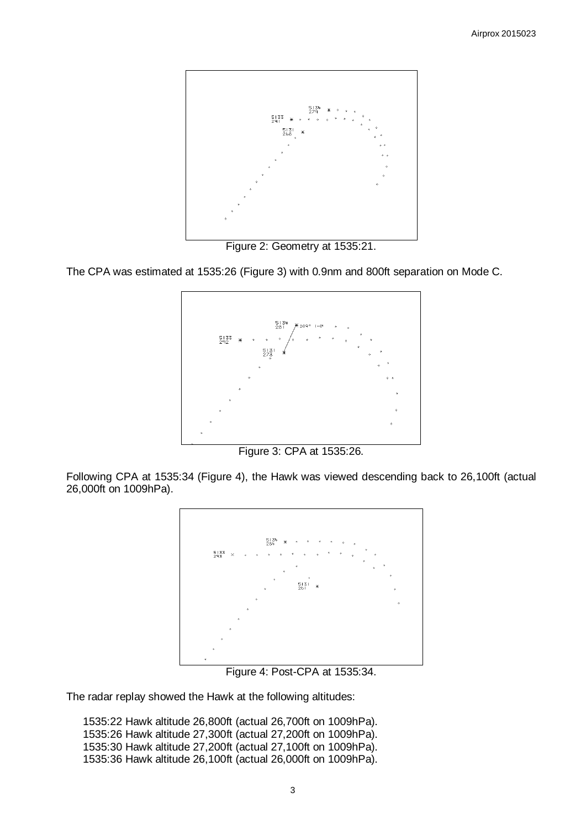

Figure 2: Geometry at 1535:21.

The CPA was estimated at 1535:26 (Figure 3) with 0.9nm and 800ft separation on Mode C.



Figure 3: CPA at 1535:26.

Following CPA at 1535:34 (Figure 4), the Hawk was viewed descending back to 26,100ft (actual 26,000ft on 1009hPa).



Figure 4: Post-CPA at 1535:34.

The radar replay showed the Hawk at the following altitudes:

1535:22 Hawk altitude 26,800ft (actual 26,700ft on 1009hPa). 1535:26 Hawk altitude 27,300ft (actual 27,200ft on 1009hPa). 1535:30 Hawk altitude 27,200ft (actual 27,100ft on 1009hPa). 1535:36 Hawk altitude 26,100ft (actual 26,000ft on 1009hPa).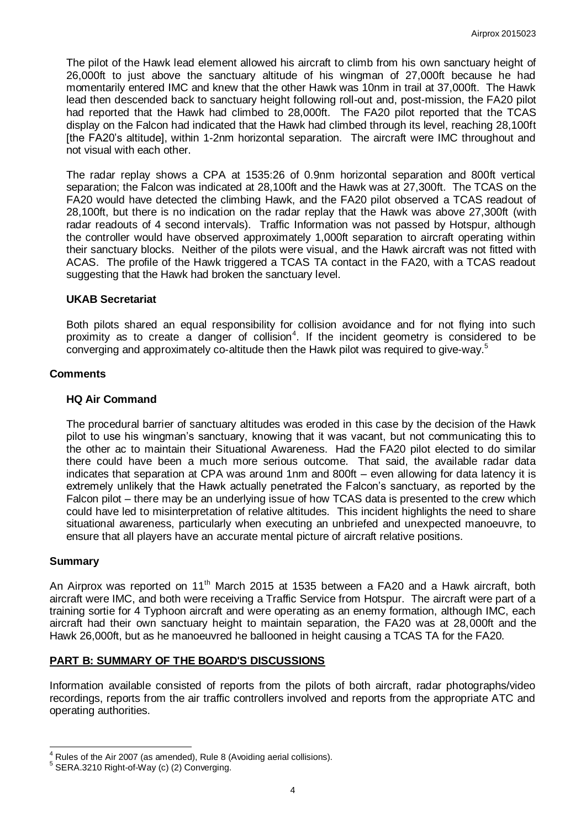The pilot of the Hawk lead element allowed his aircraft to climb from his own sanctuary height of 26,000ft to just above the sanctuary altitude of his wingman of 27,000ft because he had momentarily entered IMC and knew that the other Hawk was 10nm in trail at 37,000ft. The Hawk lead then descended back to sanctuary height following roll-out and, post-mission, the FA20 pilot had reported that the Hawk had climbed to 28,000ft. The FA20 pilot reported that the TCAS display on the Falcon had indicated that the Hawk had climbed through its level, reaching 28,100ft [the FA20's altitude], within 1-2nm horizontal separation. The aircraft were IMC throughout and not visual with each other.

The radar replay shows a CPA at 1535:26 of 0.9nm horizontal separation and 800ft vertical separation; the Falcon was indicated at 28,100ft and the Hawk was at 27,300ft. The TCAS on the FA20 would have detected the climbing Hawk, and the FA20 pilot observed a TCAS readout of 28,100ft, but there is no indication on the radar replay that the Hawk was above 27,300ft (with radar readouts of 4 second intervals). Traffic Information was not passed by Hotspur, although the controller would have observed approximately 1,000ft separation to aircraft operating within their sanctuary blocks. Neither of the pilots were visual, and the Hawk aircraft was not fitted with ACAS. The profile of the Hawk triggered a TCAS TA contact in the FA20, with a TCAS readout suggesting that the Hawk had broken the sanctuary level.

#### **UKAB Secretariat**

Both pilots shared an equal responsibility for collision avoidance and for not flying into such proximity as to create a danger of collision<sup>4</sup>. If the incident geometry is considered to be converging and approximately co-altitude then the Hawk pilot was required to give-way.<sup>5</sup>

#### **Comments**

#### **HQ Air Command**

The procedural barrier of sanctuary altitudes was eroded in this case by the decision of the Hawk pilot to use his wing man's sanctuary, knowing that it was vacant, but not communicating this to the other ac to maintain their Situational Awareness. Had the FA20 pilot elected to do similar there could have been a much more serious outcome. That said, the available radar data indicates that separation at CPA was around 1nm and 800ft – even allowing for data latency it is extremely unlikely that the Hawk actually penetrated the Falcon's sanctuary, as reported by the Falcon pilot – there may be an underlying issue of how TCAS data is presented to the crew which could have led to misinterpretation of relative altitudes. This incident highlights the need to share situational awareness, particularly when executing an unbriefed and unexpected manoeuvre, to ensure that all players have an accurate mental picture of aircraft relative positions.

#### **Summary**

 $\overline{a}$ 

An Airprox was reported on 11<sup>th</sup> March 2015 at 1535 between a FA20 and a Hawk aircraft, both aircraft were IMC, and both were receiving a Traffic Service from Hotspur. The aircraft were part of a training sortie for 4 Typhoon aircraft and were operating as an enemy formation, although IMC, each aircraft had their own sanctuary height to maintain separation, the FA20 was at 28,000ft and the Hawk 26,000ft, but as he manoeuvred he ballooned in height causing a TCAS TA for the FA20.

## **PART B: SUMMARY OF THE BOARD'S DISCUSSIONS**

Information available consisted of reports from the pilots of both aircraft, radar photographs/video recordings, reports from the air traffic controllers involved and reports from the appropriate ATC and operating authorities.

 $^{4}$  Rules of the Air 2007 (as amended), Rule 8 (Avoiding aerial collisions).

<sup>&</sup>lt;sup>5</sup> SERA.3210 Right-of-Way (c) (2) Converging.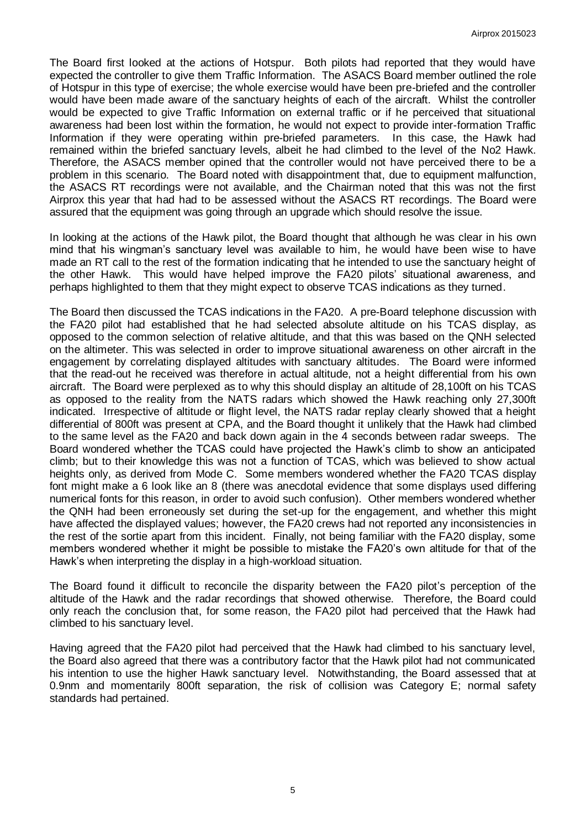The Board first looked at the actions of Hotspur. Both pilots had reported that they would have expected the controller to give them Traffic Information. The ASACS Board member outlined the role of Hotspur in this type of exercise; the whole exercise would have been pre-briefed and the controller would have been made aware of the sanctuary heights of each of the aircraft. Whilst the controller would be expected to give Traffic Information on external traffic or if he perceived that situational awareness had been lost within the formation, he would not expect to provide inter-formation Traffic Information if they were operating within pre-briefed parameters. In this case, the Hawk had remained within the briefed sanctuary levels, albeit he had climbed to the level of the No2 Hawk. Therefore, the ASACS member opined that the controller would not have perceived there to be a problem in this scenario. The Board noted with disappointment that, due to equipment malfunction, the ASACS RT recordings were not available, and the Chairman noted that this was not the first Airprox this year that had had to be assessed without the ASACS RT recordings. The Board were assured that the equipment was going through an upgrade which should resolve the issue.

In looking at the actions of the Hawk pilot, the Board thought that although he was clear in his own mind that his wing man's sanctuary level was available to him, he would have been wise to have made an RT call to the rest of the formation indicating that he intended to use the sanctuary height of the other Hawk. This would have helped improve the FA20 pilots' situational awareness, and perhaps highlighted to them that they might expect to observe TCAS indications as they turned.

The Board then discussed the TCAS indications in the FA20. A pre-Board telephone discussion with the FA20 pilot had established that he had selected absolute altitude on his TCAS display, as opposed to the common selection of relative altitude, and that this was based on the QNH selected on the altimeter. This was selected in order to improve situational awareness on other aircraft in the engagement by correlating displayed altitudes with sanctuary altitudes. The Board were informed that the read-out he received was therefore in actual altitude, not a height differential from his own aircraft. The Board were perplexed as to why this should display an altitude of 28,100ft on his TCAS as opposed to the reality from the NATS radars which showed the Hawk reaching only 27,300ft indicated. Irrespective of altitude or flight level, the NATS radar replay clearly showed that a height differential of 800ft was present at CPA, and the Board thought it unlikely that the Hawk had climbed to the same level as the FA20 and back down again in the 4 seconds between radar sweeps. The Board wondered whether the TCAS could have projected the Hawk's climb to show an anticipated climb; but to their knowledge this was not a function of TCAS, which was believed to show actual heights only, as derived from Mode C. Some members wondered whether the FA20 TCAS display font might make a 6 look like an 8 (there was anecdotal evidence that some displays used differing numerical fonts for this reason, in order to avoid such confusion). Other members wondered whether the QNH had been erroneously set during the set-up for the engagement, and whether this might have affected the displayed values; however, the FA20 crews had not reported any inconsistencies in the rest of the sortie apart from this incident. Finally, not being familiar with the FA20 display, some members wondered whether it might be possible to mistake the FA20's own altitude for that of the Hawk's when interpreting the display in a high-workload situation.

The Board found it difficult to reconcile the disparity between the FA20 pilot's perception of the altitude of the Hawk and the radar recordings that showed otherwise. Therefore, the Board could only reach the conclusion that, for some reason, the FA20 pilot had perceived that the Hawk had climbed to his sanctuary level.

Having agreed that the FA20 pilot had perceived that the Hawk had climbed to his sanctuary level, the Board also agreed that there was a contributory factor that the Hawk pilot had not communicated his intention to use the higher Hawk sanctuary level. Notwithstanding, the Board assessed that at 0.9nm and momentarily 800ft separation, the risk of collision was Category E; normal safety standards had pertained.